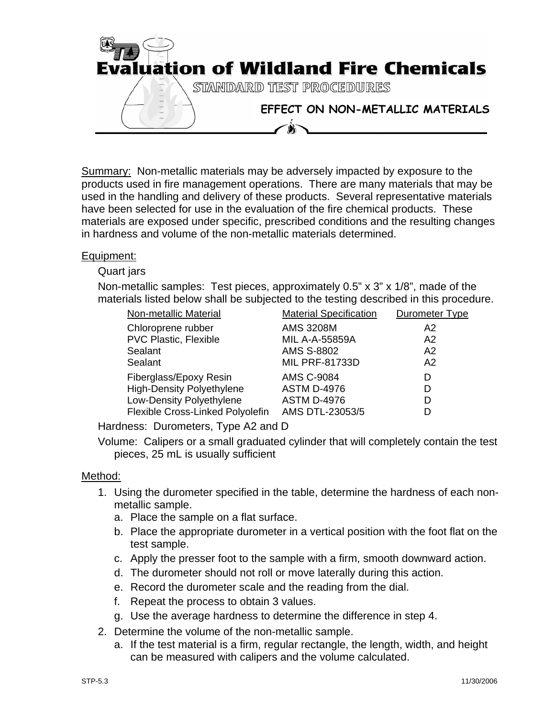

Summary: Non-metallic materials may be adversely impacted by exposure to the products used in fire management operations. There are many materials that may be used in the handling and delivery of these products. Several representative materials have been selected for use in the evaluation of the fire chemical products. These materials are exposed under specific, prescribed conditions and the resulting changes in hardness and volume of the non-metallic materials determined.

## Equipment:

## Quart jars

Non-metallic samples: Test pieces, approximately 0.5" x 3" x 1/8", made of the materials listed below shall be subjected to the testing described in this procedure.

| Non-metallic Material            | <b>Material Specification</b> | Durometer Type |
|----------------------------------|-------------------------------|----------------|
| Chloroprene rubber               | <b>AMS 3208M</b>              | A2             |
| <b>PVC Plastic, Flexible</b>     | <b>MIL A-A-55859A</b>         | A2             |
| Sealant                          | <b>AMS S-8802</b>             | A2             |
| Sealant                          | <b>MIL PRF-81733D</b>         | A2             |
| Fiberglass/Epoxy Resin           | <b>AMS C-9084</b>             | D              |
| <b>High-Density Polyethylene</b> | <b>ASTM D-4976</b>            | D              |
| Low-Density Polyethylene         | <b>ASTM D-4976</b>            | D              |
| Flexible Cross-Linked Polyolefin | AMS DTL-23053/5               | D              |

Hardness: Durometers, Type A2 and D

Volume: Calipers or a small graduated cylinder that will completely contain the test pieces, 25 mL is usually sufficient

## Method:

- 1. Using the durometer specified in the table, determine the hardness of each nonmetallic sample.
	- a. Place the sample on a flat surface.
	- b. Place the appropriate durometer in a vertical position with the foot flat on the test sample.
	- c. Apply the presser foot to the sample with a firm, smooth downward action.
	- d. The durometer should not roll or move laterally during this action.
	- e. Record the durometer scale and the reading from the dial.
	- f. Repeat the process to obtain 3 values.
	- g. Use the average hardness to determine the difference in step 4.
- 2. Determine the volume of the non-metallic sample.
	- a. If the test material is a firm, regular rectangle, the length, width, and height can be measured with calipers and the volume calculated.